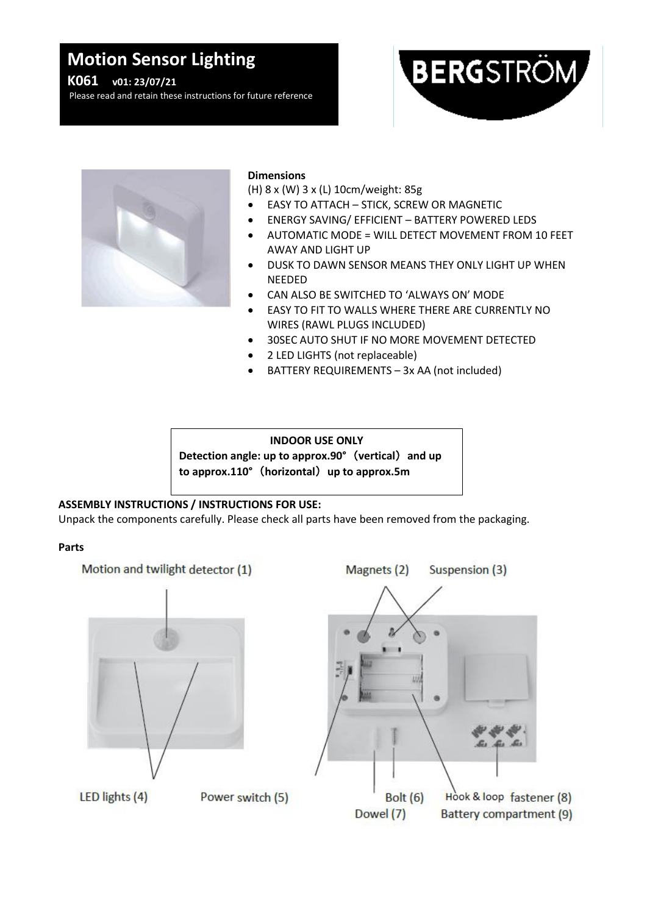# **Motion Sensor Lighting**

**K061 v01: 23/07/21**

Please read and retain these instructions for future reference





#### **Dimensions**

(H) 8 x (W) 3 x (L) 10cm/weight: 85g

- EASY TO ATTACH STICK, SCREW OR MAGNETIC
- ENERGY SAVING/ EFFICIENT BATTERY POWERED LEDS
- AUTOMATIC MODE = WILL DETECT MOVEMENT FROM 10 FEET AWAY AND LIGHT UP
- DUSK TO DAWN SENSOR MEANS THEY ONLY LIGHT UP WHEN NEEDED
- CAN ALSO BE SWITCHED TO 'ALWAYS ON' MODE
- EASY TO FIT TO WALLS WHERE THERE ARE CURRENTLY NO WIRES (RAWL PLUGS INCLUDED)
	- 30SEC AUTO SHUT IF NO MORE MOVEMENT DETECTED
- 2 LED LIGHTS (not replaceable)
- BATTERY REQUIREMENTS 3x AA (not included)

**INDOOR USE ONLY Detection angle: up to approx.90°**(**vertical**)**and up to approx.110°**(**horizontal**)**up to approx.5m**

## **ASSEMBLY INSTRUCTIONS / INSTRUCTIONS FOR USE:**

Unpack the components carefully. Please check all parts have been removed from the packaging.

#### **Parts**

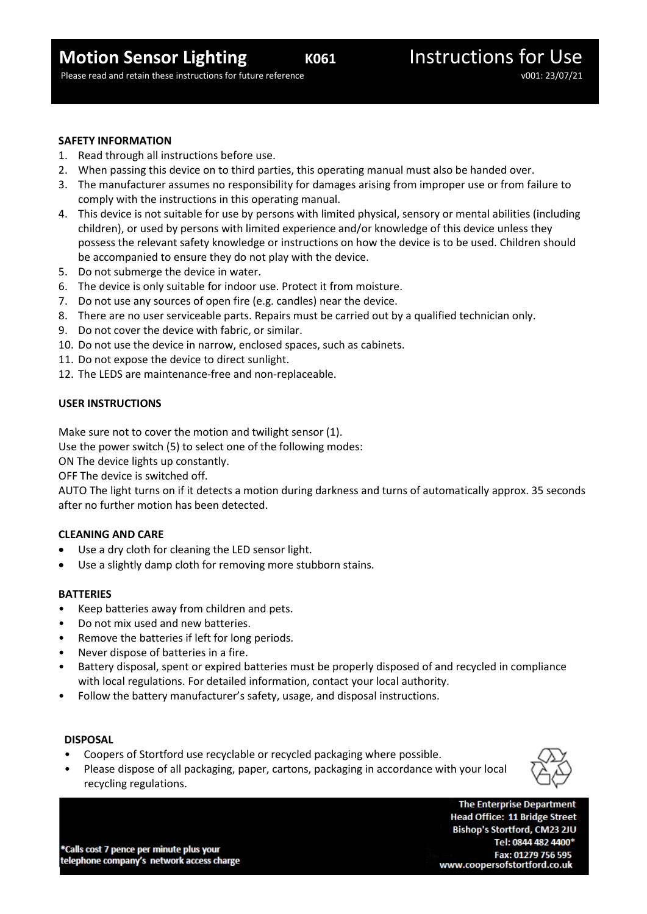Please read and retain these instructions for future reference values of the values of the volume values of volume values of volume values of volume values of volume values of volume values of volume values of values of va

#### **SAFETY INFORMATION**

- 1. Read through all instructions before use.
- 2. When passing this device on to third parties, this operating manual must also be handed over.
- 3. The manufacturer assumes no responsibility for damages arising from improper use or from failure to comply with the instructions in this operating manual.
- 4. This device is not suitable for use by persons with limited physical, sensory or mental abilities (including children), or used by persons with limited experience and/or knowledge of this device unless they possess the relevant safety knowledge or instructions on how the device is to be used. Children should be accompanied to ensure they do not play with the device.
- 5. Do not submerge the device in water.
- 6. The device is only suitable for indoor use. Protect it from moisture.
- 7. Do not use any sources of open fire (e.g. candles) near the device.
- 8. There are no user serviceable parts. Repairs must be carried out by a qualified technician only.
- 9. Do not cover the device with fabric, or similar.
- 10. Do not use the device in narrow, enclosed spaces, such as cabinets.
- 11. Do not expose the device to direct sunlight.
- 12. The LEDS are maintenance-free and non-replaceable.

### **USER INSTRUCTIONS**

Make sure not to cover the motion and twilight sensor (1).

Use the power switch (5) to select one of the following modes:

ON The device lights up constantly.

OFF The device is switched off.

AUTO The light turns on if it detects a motion during darkness and turns of automatically approx. 35 seconds after no further motion has been detected.

#### **CLEANING AND CARE**

- Use a dry cloth for cleaning the LED sensor light.
- Use a slightly damp cloth for removing more stubborn stains.

#### **BATTERIES**

- Keep batteries away from children and pets.
- Do not mix used and new batteries.
- Remove the batteries if left for long periods.
- Never dispose of batteries in a fire.
- Battery disposal, spent or expired batteries must be properly disposed of and recycled in compliance with local regulations. For detailed information, contact your local authority.
- Follow the battery manufacturer's safety, usage, and disposal instructions.

#### **DISPOSAL**

- Coopers of Stortford use recyclable or recycled packaging where possible.
- Please dispose of all packaging, paper, cartons, packaging in accordance with your local recycling regulations.



\*Calls cost 7 pence per minute plus your telephone company's network access charge

**The Enterprise Department Head Office: 11 Bridge Street** Bishop's Stortford, CM23 2JU Tel: 0844 482 4400\* Fax: 01279 756 595 www.coopersofstortford.co.uk